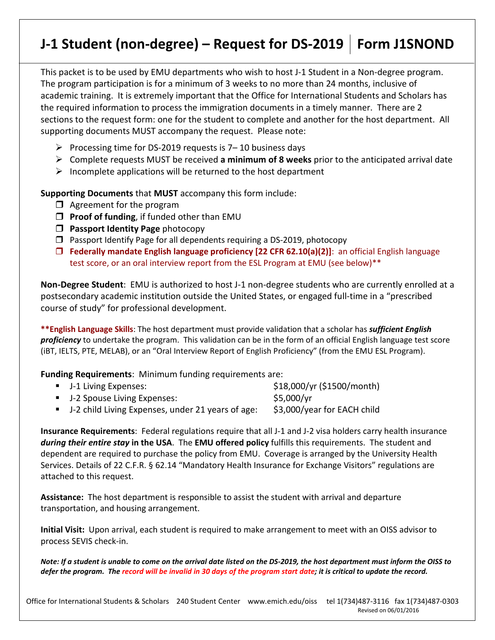# **J-1 Student (non-degree) – Request for DS-2019 Form J1SNOND**

This packet is to be used by EMU departments who wish to host J-1 Student in a Non-degree program. The program participation is for a minimum of 3 weeks to no more than 24 months, inclusive of academic training. It is extremely important that the Office for International Students and Scholars has the required information to process the immigration documents in a timely manner. There are 2 sections to the request form: one for the student to complete and another for the host department. All supporting documents MUST accompany the request. Please note:

- Processing time for DS-2019 requests is  $7-10$  business days
- Complete requests MUST be received **a minimum of 8 weeks** prior to the anticipated arrival date
- $\triangleright$  Incomplete applications will be returned to the host department

**Supporting Documents** that **MUST** accompany this form include:

- $\Box$  Agreement for the program
- **Proof of funding**, if funded other than EMU
- **Passport Identity Page** photocopy
- $\square$  Passport Identify Page for all dependents requiring a DS-2019, photocopy
- **Federally mandate English language proficiency [22 CFR 62.10(a)(2)]**: an official English language test score, or an oral interview report from the ESL Program at EMU (see below)\*\*

**Non-Degree Student**: EMU is authorized to host J-1 non-degree students who are currently enrolled at a postsecondary academic institution outside the United States, or engaged full-time in a "prescribed course of study" for professional development.

**\*\*English Language Skills**: The host department must provide validation that a scholar has *sufficient English proficiency* to undertake the program. This validation can be in the form of an official English language test score (iBT, IELTS, PTE, MELAB), or an "Oral Interview Report of English Proficiency" (from the EMU ESL Program).

**Funding Requirements**: Minimum funding requirements are:

| ■ J-1 Living Expenses:                              | \$18,000/yr (\$1500/month)  |
|-----------------------------------------------------|-----------------------------|
| ■ J-2 Spouse Living Expenses:                       | \$5,000/yr                  |
| ■ J-2 child Living Expenses, under 21 years of age: | \$3,000/year for EACH child |

**Insurance Requirements**: Federal regulations require that all J-1 and J-2 visa holders carry health insurance *during their entire stay* **in the USA**. The **EMU offered policy** fulfills this requirements. The student and dependent are required to purchase the policy from EMU. Coverage is arranged by the University Health Services. Details of 22 C.F.R. § 62.14 "Mandatory Health Insurance for Exchange Visitors" regulations are attached to this request.

**Assistance:** The host department is responsible to assist the student with arrival and departure transportation, and housing arrangement.

**Initial Visit:** Upon arrival, each student is required to make arrangement to meet with an OISS advisor to process SEVIS check-in.

*Note: If a student is unable to come on the arrival date listed on the DS-2019, the host department must inform the OISS to defer the program. The record will be invalid in 30 days of the program start date; it is critical to update the record.*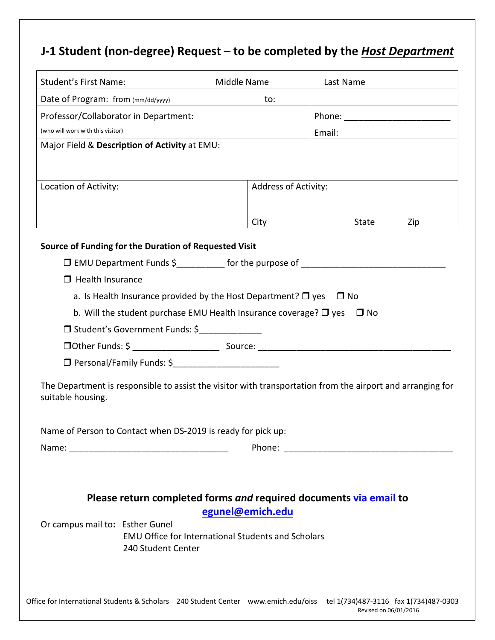## **J-1 Student (non-degree) Request – to be completed by the** *Host Department*

| <b>Student's First Name:</b>                                                                                                    | Middle Name                                               | Last Name                         |  |  |  |  |  |
|---------------------------------------------------------------------------------------------------------------------------------|-----------------------------------------------------------|-----------------------------------|--|--|--|--|--|
| Date of Program: from (mm/dd/yyyy)                                                                                              | to:                                                       |                                   |  |  |  |  |  |
| Professor/Collaborator in Department:                                                                                           |                                                           | Phone: __________________________ |  |  |  |  |  |
| (who will work with this visitor)                                                                                               |                                                           | Email:                            |  |  |  |  |  |
| Major Field & Description of Activity at EMU:                                                                                   |                                                           |                                   |  |  |  |  |  |
|                                                                                                                                 |                                                           |                                   |  |  |  |  |  |
| Location of Activity:                                                                                                           | Address of Activity:                                      |                                   |  |  |  |  |  |
|                                                                                                                                 |                                                           |                                   |  |  |  |  |  |
|                                                                                                                                 | City                                                      | State<br>Zip                      |  |  |  |  |  |
|                                                                                                                                 |                                                           |                                   |  |  |  |  |  |
| Source of Funding for the Duration of Requested Visit                                                                           |                                                           |                                   |  |  |  |  |  |
|                                                                                                                                 |                                                           |                                   |  |  |  |  |  |
| $\Box$ Health Insurance                                                                                                         |                                                           |                                   |  |  |  |  |  |
| a. Is Health Insurance provided by the Host Department? $\Box$ yes $\Box$ No                                                    |                                                           |                                   |  |  |  |  |  |
| b. Will the student purchase EMU Health Insurance coverage? $\Box$ yes<br>$\Box$ No                                             |                                                           |                                   |  |  |  |  |  |
| □ Student's Government Funds: \$                                                                                                |                                                           |                                   |  |  |  |  |  |
|                                                                                                                                 |                                                           |                                   |  |  |  |  |  |
| □ Personal/Family Funds: \$<br>□ Personal/Family Funds: \$<br>                                                                  |                                                           |                                   |  |  |  |  |  |
| The Department is responsible to assist the visitor with transportation from the airport and arranging for<br>suitable housing. |                                                           |                                   |  |  |  |  |  |
| Name of Person to Contact when DS-2019 is ready for pick up:                                                                    |                                                           |                                   |  |  |  |  |  |
|                                                                                                                                 |                                                           |                                   |  |  |  |  |  |
|                                                                                                                                 |                                                           |                                   |  |  |  |  |  |
|                                                                                                                                 |                                                           |                                   |  |  |  |  |  |
| Please return completed forms and required documents via email to                                                               |                                                           |                                   |  |  |  |  |  |
|                                                                                                                                 | egunel@emich.edu                                          |                                   |  |  |  |  |  |
| Or campus mail to: Esther Gunel<br>240 Student Center                                                                           | <b>EMU Office for International Students and Scholars</b> |                                   |  |  |  |  |  |
|                                                                                                                                 |                                                           |                                   |  |  |  |  |  |
| Office for International Students & Scholars 240 Student Center www.emich.edu/oiss tel 1(734)487-3116 fax 1(734)487-0303        |                                                           | Revised on 06/01/2016             |  |  |  |  |  |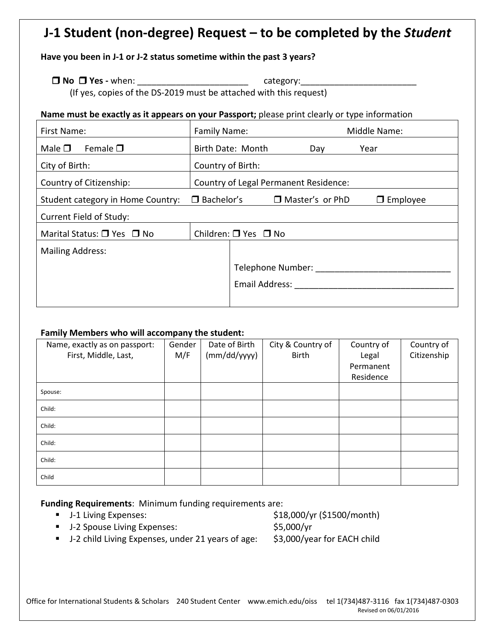## **J-1 Student (non-degree) Request – to be completed by the** *Student*

## **Have you been in J-1 or J-2 status sometime within the past 3 years?**

## **No Yes -** when: \_\_\_\_\_\_\_\_\_\_\_\_\_\_\_\_\_\_\_\_\_\_\_ category:\_\_\_\_\_\_\_\_\_\_\_\_\_\_\_\_\_\_\_\_\_\_\_\_

(If yes, copies of the DS-2019 must be attached with this request)

### **Name must be exactly as it appears on your Passport;** please print clearly or type information

| First Name:                                            | Family Name:                          |                                |  | Middle Name:    |      |  |
|--------------------------------------------------------|---------------------------------------|--------------------------------|--|-----------------|------|--|
| Male $\square$<br>Female $\square$                     |                                       | Birth Date: Month              |  | Day             | Year |  |
| City of Birth:                                         | Country of Birth:                     |                                |  |                 |      |  |
| Country of Citizenship:                                | Country of Legal Permanent Residence: |                                |  |                 |      |  |
| $\Box$ Bachelor's<br>Student category in Home Country: |                                       | □ Master's or PhD              |  | $\Box$ Employee |      |  |
| Current Field of Study:                                |                                       |                                |  |                 |      |  |
| Marital Status: $\Box$ Yes $\Box$ No                   |                                       | Children: $\Box$ Yes $\Box$ No |  |                 |      |  |
| <b>Mailing Address:</b>                                |                                       |                                |  |                 |      |  |
|                                                        |                                       | Telephone Number:              |  |                 |      |  |
|                                                        |                                       | Email Address:                 |  |                 |      |  |
|                                                        |                                       |                                |  |                 |      |  |

## **Family Members who will accompany the student:**

| Name, exactly as on passport:<br>First, Middle, Last, | Gender<br>M/F | Date of Birth<br>(mm/dd/yyyy) | City & Country of<br><b>Birth</b> | Country of<br>Legal<br>Permanent<br>Residence | Country of<br>Citizenship |
|-------------------------------------------------------|---------------|-------------------------------|-----------------------------------|-----------------------------------------------|---------------------------|
|                                                       |               |                               |                                   |                                               |                           |
| Spouse:                                               |               |                               |                                   |                                               |                           |
| Child:                                                |               |                               |                                   |                                               |                           |
| Child:                                                |               |                               |                                   |                                               |                           |
| Child:                                                |               |                               |                                   |                                               |                           |
| Child:                                                |               |                               |                                   |                                               |                           |
| Child                                                 |               |                               |                                   |                                               |                           |

**Funding Requirements**: Minimum funding requirements are:

- 
- J-2 Spouse Living Expenses: \$5,000/yr

■ J-1 Living Expenses: \$18,000/yr (\$1500/month)

■ J-2 child Living Expenses, under 21 years of age: \$3,000/year for EACH child

Office for International Students & Scholars 240 Student Center www.emich.edu/oiss tel 1(734)487-3116 fax 1(734)487-0303 Revised on 06/01/2016